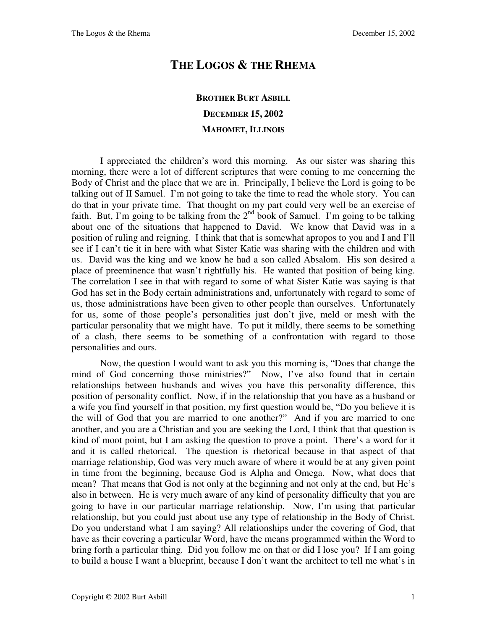## **THE LOGOS & THE RHEMA**

## **BROTHER BURT ASBILL DECEMBER 15, 2002 MAHOMET, ILLINOIS**

I appreciated the children's word this morning. As our sister was sharing this morning, there were a lot of different scriptures that were coming to me concerning the Body of Christ and the place that we are in. Principally, I believe the Lord is going to be talking out of II Samuel. I'm not going to take the time to read the whole story. You can do that in your private time. That thought on my part could very well be an exercise of faith. But, I'm going to be talking from the  $2<sup>nd</sup>$  book of Samuel. I'm going to be talking about one of the situations that happened to David. We know that David was in a position of ruling and reigning. I think that that is somewhat apropos to you and I and I'll see if I can't tie it in here with what Sister Katie was sharing with the children and with us. David was the king and we know he had a son called Absalom. His son desired a place of preeminence that wasn't rightfully his. He wanted that position of being king. The correlation I see in that with regard to some of what Sister Katie was saying is that God has set in the Body certain administrations and, unfortunately with regard to some of us, those administrations have been given to other people than ourselves. Unfortunately for us, some of those people's personalities just don't jive, meld or mesh with the particular personality that we might have. To put it mildly, there seems to be something of a clash, there seems to be something of a confrontation with regard to those personalities and ours.

Now, the question I would want to ask you this morning is, "Does that change the mind of God concerning those ministries?" Now, I've also found that in certain relationships between husbands and wives you have this personality difference, this position of personality conflict. Now, if in the relationship that you have as a husband or a wife you find yourself in that position, my first question would be, "Do you believe it is the will of God that you are married to one another?" And if you are married to one another, and you are a Christian and you are seeking the Lord, I think that that question is kind of moot point, but I am asking the question to prove a point. There's a word for it and it is called rhetorical. The question is rhetorical because in that aspect of that marriage relationship, God was very much aware of where it would be at any given point in time from the beginning, because God is Alpha and Omega. Now, what does that mean? That means that God is not only at the beginning and not only at the end, but He's also in between. He is very much aware of any kind of personality difficulty that you are going to have in our particular marriage relationship. Now, I'm using that particular relationship, but you could just about use any type of relationship in the Body of Christ. Do you understand what I am saying? All relationships under the covering of God, that have as their covering a particular Word, have the means programmed within the Word to bring forth a particular thing. Did you follow me on that or did I lose you? If I am going to build a house I want a blueprint, because I don't want the architect to tell me what's in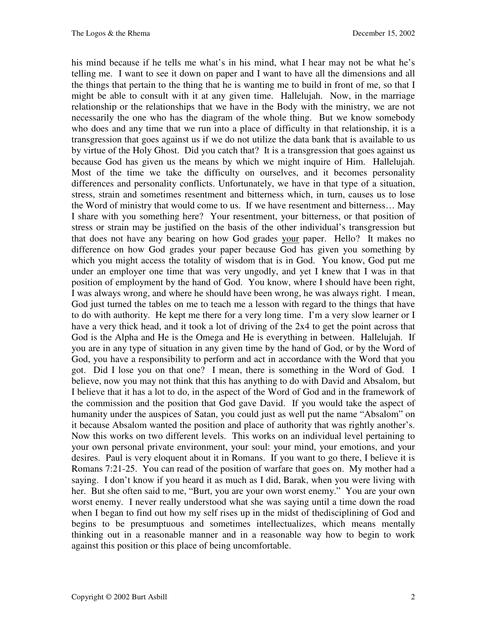his mind because if he tells me what's in his mind, what I hear may not be what he's telling me. I want to see it down on paper and I want to have all the dimensions and all the things that pertain to the thing that he is wanting me to build in front of me, so that I might be able to consult with it at any given time. Hallelujah. Now, in the marriage relationship or the relationships that we have in the Body with the ministry, we are not necessarily the one who has the diagram of the whole thing. But we know somebody who does and any time that we run into a place of difficulty in that relationship, it is a transgression that goes against us if we do not utilize the data bank that is available to us by virtue of the Holy Ghost. Did you catch that? It is a transgression that goes against us because God has given us the means by which we might inquire of Him. Hallelujah. Most of the time we take the difficulty on ourselves, and it becomes personality differences and personality conflicts. Unfortunately, we have in that type of a situation, stress, strain and sometimes resentment and bitterness which, in turn, causes us to lose the Word of ministry that would come to us. If we have resentment and bitterness… May I share with you something here? Your resentment, your bitterness, or that position of stress or strain may be justified on the basis of the other individual's transgression but that does not have any bearing on how God grades your paper. Hello? It makes no difference on how God grades your paper because God has given you something by which you might access the totality of wisdom that is in God. You know, God put me under an employer one time that was very ungodly, and yet I knew that I was in that position of employment by the hand of God. You know, where I should have been right, I was always wrong, and where he should have been wrong, he was always right. I mean, God just turned the tables on me to teach me a lesson with regard to the things that have to do with authority. He kept me there for a very long time. I'm a very slow learner or I have a very thick head, and it took a lot of driving of the 2x4 to get the point across that God is the Alpha and He is the Omega and He is everything in between. Hallelujah. If you are in any type of situation in any given time by the hand of God, or by the Word of God, you have a responsibility to perform and act in accordance with the Word that you got. Did I lose you on that one? I mean, there is something in the Word of God. I believe, now you may not think that this has anything to do with David and Absalom, but I believe that it has a lot to do, in the aspect of the Word of God and in the framework of the commission and the position that God gave David. If you would take the aspect of humanity under the auspices of Satan, you could just as well put the name "Absalom" on it because Absalom wanted the position and place of authority that was rightly another's. Now this works on two different levels. This works on an individual level pertaining to your own personal private environment, your soul: your mind, your emotions, and your desires. Paul is very eloquent about it in Romans. If you want to go there, I believe it is Romans 7:21-25. You can read of the position of warfare that goes on. My mother had a saying. I don't know if you heard it as much as I did, Barak, when you were living with her. But she often said to me, "Burt, you are your own worst enemy." You are your own worst enemy. I never really understood what she was saying until a time down the road when I began to find out how my self rises up in the midst of thedisciplining of God and begins to be presumptuous and sometimes intellectualizes, which means mentally thinking out in a reasonable manner and in a reasonable way how to begin to work against this position or this place of being uncomfortable.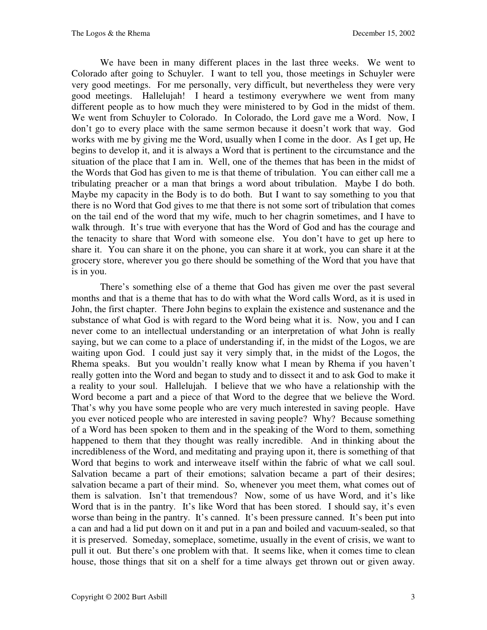We have been in many different places in the last three weeks. We went to Colorado after going to Schuyler. I want to tell you, those meetings in Schuyler were very good meetings. For me personally, very difficult, but nevertheless they were very good meetings. Hallelujah! I heard a testimony everywhere we went from many different people as to how much they were ministered to by God in the midst of them. We went from Schuyler to Colorado. In Colorado, the Lord gave me a Word. Now, I don't go to every place with the same sermon because it doesn't work that way. God works with me by giving me the Word, usually when I come in the door. As I get up, He begins to develop it, and it is always a Word that is pertinent to the circumstance and the situation of the place that I am in. Well, one of the themes that has been in the midst of the Words that God has given to me is that theme of tribulation. You can either call me a tribulating preacher or a man that brings a word about tribulation. Maybe I do both. Maybe my capacity in the Body is to do both. But I want to say something to you that there is no Word that God gives to me that there is not some sort of tribulation that comes on the tail end of the word that my wife, much to her chagrin sometimes, and I have to walk through. It's true with everyone that has the Word of God and has the courage and the tenacity to share that Word with someone else. You don't have to get up here to share it. You can share it on the phone, you can share it at work, you can share it at the grocery store, wherever you go there should be something of the Word that you have that is in you.

There's something else of a theme that God has given me over the past several months and that is a theme that has to do with what the Word calls Word, as it is used in John, the first chapter. There John begins to explain the existence and sustenance and the substance of what God is with regard to the Word being what it is. Now, you and I can never come to an intellectual understanding or an interpretation of what John is really saying, but we can come to a place of understanding if, in the midst of the Logos, we are waiting upon God. I could just say it very simply that, in the midst of the Logos, the Rhema speaks. But you wouldn't really know what I mean by Rhema if you haven't really gotten into the Word and began to study and to dissect it and to ask God to make it a reality to your soul. Hallelujah. I believe that we who have a relationship with the Word become a part and a piece of that Word to the degree that we believe the Word. That's why you have some people who are very much interested in saving people. Have you ever noticed people who are interested in saving people? Why? Because something of a Word has been spoken to them and in the speaking of the Word to them, something happened to them that they thought was really incredible. And in thinking about the incredibleness of the Word, and meditating and praying upon it, there is something of that Word that begins to work and interweave itself within the fabric of what we call soul. Salvation became a part of their emotions; salvation became a part of their desires; salvation became a part of their mind. So, whenever you meet them, what comes out of them is salvation. Isn't that tremendous? Now, some of us have Word, and it's like Word that is in the pantry. It's like Word that has been stored. I should say, it's even worse than being in the pantry. It's canned. It's been pressure canned. It's been put into a can and had a lid put down on it and put in a pan and boiled and vacuum-sealed, so that it is preserved. Someday, someplace, sometime, usually in the event of crisis, we want to pull it out. But there's one problem with that. It seems like, when it comes time to clean house, those things that sit on a shelf for a time always get thrown out or given away.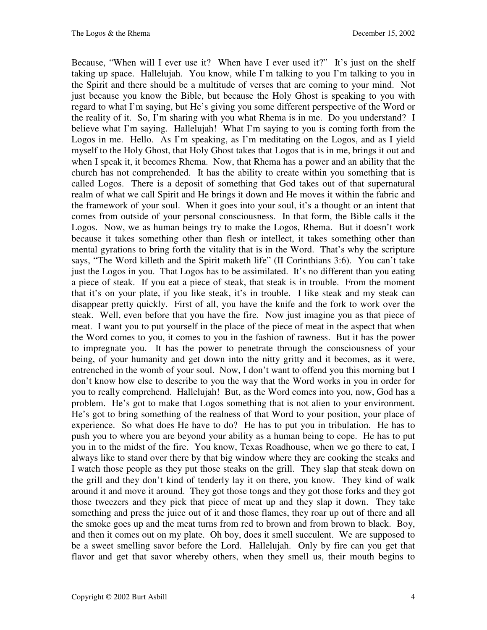Because, "When will I ever use it? When have I ever used it?" It's just on the shelf taking up space. Hallelujah. You know, while I'm talking to you I'm talking to you in the Spirit and there should be a multitude of verses that are coming to your mind. Not just because you know the Bible, but because the Holy Ghost is speaking to you with regard to what I'm saying, but He's giving you some different perspective of the Word or the reality of it. So, I'm sharing with you what Rhema is in me. Do you understand? I believe what I'm saying. Hallelujah! What I'm saying to you is coming forth from the Logos in me. Hello. As I'm speaking, as I'm meditating on the Logos, and as I yield myself to the Holy Ghost, that Holy Ghost takes that Logos that is in me, brings it out and when I speak it, it becomes Rhema. Now, that Rhema has a power and an ability that the church has not comprehended. It has the ability to create within you something that is called Logos. There is a deposit of something that God takes out of that supernatural realm of what we call Spirit and He brings it down and He moves it within the fabric and the framework of your soul. When it goes into your soul, it's a thought or an intent that comes from outside of your personal consciousness. In that form, the Bible calls it the Logos. Now, we as human beings try to make the Logos, Rhema. But it doesn't work because it takes something other than flesh or intellect, it takes something other than mental gyrations to bring forth the vitality that is in the Word. That's why the scripture says, "The Word killeth and the Spirit maketh life" (II Corinthians 3:6). You can't take just the Logos in you. That Logos has to be assimilated. It's no different than you eating a piece of steak. If you eat a piece of steak, that steak is in trouble. From the moment that it's on your plate, if you like steak, it's in trouble. I like steak and my steak can disappear pretty quickly. First of all, you have the knife and the fork to work over the steak. Well, even before that you have the fire. Now just imagine you as that piece of meat. I want you to put yourself in the place of the piece of meat in the aspect that when the Word comes to you, it comes to you in the fashion of rawness. But it has the power to impregnate you. It has the power to penetrate through the consciousness of your being, of your humanity and get down into the nitty gritty and it becomes, as it were, entrenched in the womb of your soul. Now, I don't want to offend you this morning but I don't know how else to describe to you the way that the Word works in you in order for you to really comprehend. Hallelujah! But, as the Word comes into you, now, God has a problem. He's got to make that Logos something that is not alien to your environment. He's got to bring something of the realness of that Word to your position, your place of experience. So what does He have to do? He has to put you in tribulation. He has to push you to where you are beyond your ability as a human being to cope. He has to put you in to the midst of the fire. You know, Texas Roadhouse, when we go there to eat, I always like to stand over there by that big window where they are cooking the steaks and I watch those people as they put those steaks on the grill. They slap that steak down on the grill and they don't kind of tenderly lay it on there, you know. They kind of walk around it and move it around. They got those tongs and they got those forks and they got those tweezers and they pick that piece of meat up and they slap it down. They take something and press the juice out of it and those flames, they roar up out of there and all the smoke goes up and the meat turns from red to brown and from brown to black. Boy, and then it comes out on my plate. Oh boy, does it smell succulent. We are supposed to be a sweet smelling savor before the Lord. Hallelujah. Only by fire can you get that flavor and get that savor whereby others, when they smell us, their mouth begins to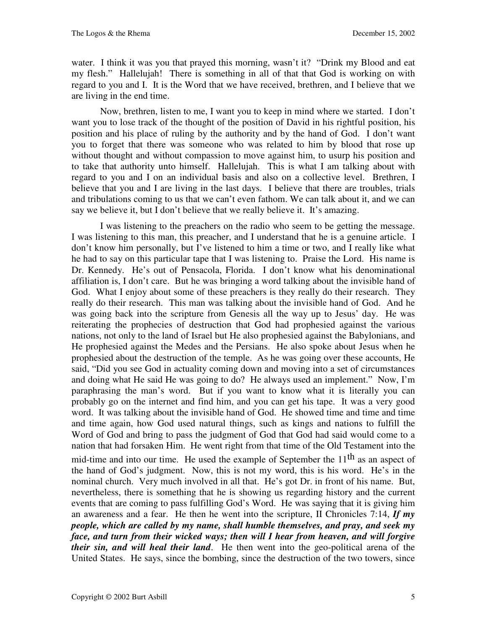water. I think it was you that prayed this morning, wasn't it? "Drink my Blood and eat my flesh." Hallelujah! There is something in all of that that God is working on with regard to you and I. It is the Word that we have received, brethren, and I believe that we are living in the end time.

Now, brethren, listen to me, I want you to keep in mind where we started. I don't want you to lose track of the thought of the position of David in his rightful position, his position and his place of ruling by the authority and by the hand of God. I don't want you to forget that there was someone who was related to him by blood that rose up without thought and without compassion to move against him, to usurp his position and to take that authority unto himself. Hallelujah. This is what I am talking about with regard to you and I on an individual basis and also on a collective level. Brethren, I believe that you and I are living in the last days. I believe that there are troubles, trials and tribulations coming to us that we can't even fathom. We can talk about it, and we can say we believe it, but I don't believe that we really believe it. It's amazing.

I was listening to the preachers on the radio who seem to be getting the message. I was listening to this man, this preacher, and I understand that he is a genuine article. I don't know him personally, but I've listened to him a time or two, and I really like what he had to say on this particular tape that I was listening to. Praise the Lord. His name is Dr. Kennedy. He's out of Pensacola, Florida. I don't know what his denominational affiliation is, I don't care. But he was bringing a word talking about the invisible hand of God. What I enjoy about some of these preachers is they really do their research. They really do their research. This man was talking about the invisible hand of God. And he was going back into the scripture from Genesis all the way up to Jesus' day. He was reiterating the prophecies of destruction that God had prophesied against the various nations, not only to the land of Israel but He also prophesied against the Babylonians, and He prophesied against the Medes and the Persians. He also spoke about Jesus when he prophesied about the destruction of the temple. As he was going over these accounts, He said, "Did you see God in actuality coming down and moving into a set of circumstances and doing what He said He was going to do? He always used an implement." Now, I'm paraphrasing the man's word. But if you want to know what it is literally you can probably go on the internet and find him, and you can get his tape. It was a very good word. It was talking about the invisible hand of God. He showed time and time and time and time again, how God used natural things, such as kings and nations to fulfill the Word of God and bring to pass the judgment of God that God had said would come to a nation that had forsaken Him. He went right from that time of the Old Testament into the mid-time and into our time. He used the example of September the  $11<sup>th</sup>$  as an aspect of the hand of God's judgment. Now, this is not my word, this is his word. He's in the nominal church. Very much involved in all that. He's got Dr. in front of his name. But, nevertheless, there is something that he is showing us regarding history and the current events that are coming to pass fulfilling God's Word. He was saying that it is giving him an awareness and a fear. He then he went into the scripture, II Chronicles 7:14, *If my people, which are called by my name, shall humble themselves, and pray, and seek my face, and turn from their wicked ways; then will I hear from heaven, and will forgive their sin, and will heal their land*. He then went into the geo-political arena of the United States. He says, since the bombing, since the destruction of the two towers, since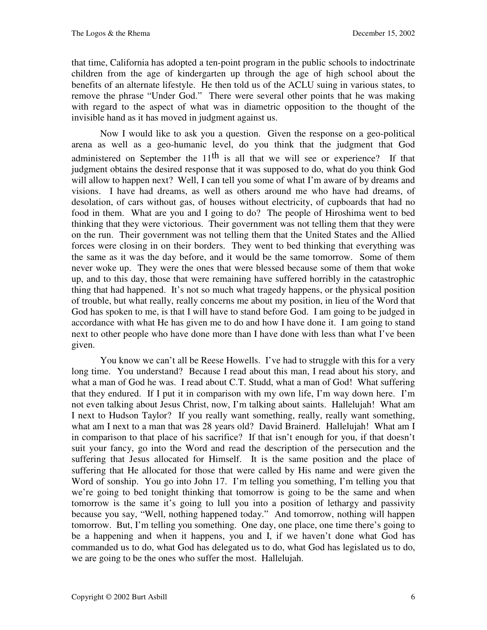that time, California has adopted a ten-point program in the public schools to indoctrinate children from the age of kindergarten up through the age of high school about the benefits of an alternate lifestyle. He then told us of the ACLU suing in various states, to remove the phrase "Under God." There were several other points that he was making with regard to the aspect of what was in diametric opposition to the thought of the invisible hand as it has moved in judgment against us.

Now I would like to ask you a question. Given the response on a geo-political arena as well as a geo-humanic level, do you think that the judgment that God administered on September the  $11<sup>th</sup>$  is all that we will see or experience? If that judgment obtains the desired response that it was supposed to do, what do you think God will allow to happen next? Well, I can tell you some of what I'm aware of by dreams and visions. I have had dreams, as well as others around me who have had dreams, of desolation, of cars without gas, of houses without electricity, of cupboards that had no food in them. What are you and I going to do? The people of Hiroshima went to bed thinking that they were victorious. Their government was not telling them that they were on the run. Their government was not telling them that the United States and the Allied forces were closing in on their borders. They went to bed thinking that everything was the same as it was the day before, and it would be the same tomorrow. Some of them never woke up. They were the ones that were blessed because some of them that woke up, and to this day, those that were remaining have suffered horribly in the catastrophic thing that had happened. It's not so much what tragedy happens, or the physical position of trouble, but what really, really concerns me about my position, in lieu of the Word that God has spoken to me, is that I will have to stand before God. I am going to be judged in accordance with what He has given me to do and how I have done it. I am going to stand next to other people who have done more than I have done with less than what I've been given.

You know we can't all be Reese Howells. I've had to struggle with this for a very long time. You understand? Because I read about this man, I read about his story, and what a man of God he was. I read about C.T. Studd, what a man of God! What suffering that they endured. If I put it in comparison with my own life, I'm way down here. I'm not even talking about Jesus Christ, now, I'm talking about saints. Hallelujah! What am I next to Hudson Taylor? If you really want something, really, really want something, what am I next to a man that was 28 years old? David Brainerd. Hallelujah! What am I in comparison to that place of his sacrifice? If that isn't enough for you, if that doesn't suit your fancy, go into the Word and read the description of the persecution and the suffering that Jesus allocated for Himself. It is the same position and the place of suffering that He allocated for those that were called by His name and were given the Word of sonship. You go into John 17. I'm telling you something, I'm telling you that we're going to bed tonight thinking that tomorrow is going to be the same and when tomorrow is the same it's going to lull you into a position of lethargy and passivity because you say, "Well, nothing happened today." And tomorrow, nothing will happen tomorrow. But, I'm telling you something. One day, one place, one time there's going to be a happening and when it happens, you and I, if we haven't done what God has commanded us to do, what God has delegated us to do, what God has legislated us to do, we are going to be the ones who suffer the most. Hallelujah.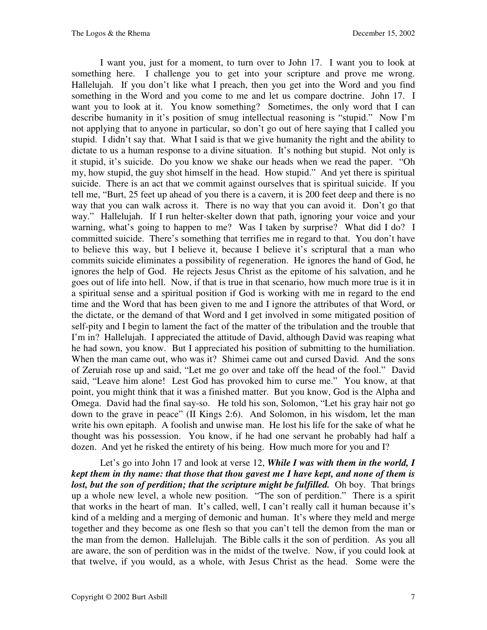I want you, just for a moment, to turn over to John 17. I want you to look at something here. I challenge you to get into your scripture and prove me wrong. Hallelujah. If you don't like what I preach, then you get into the Word and you find something in the Word and you come to me and let us compare doctrine. John 17. I want you to look at it. You know something? Sometimes, the only word that I can describe humanity in it's position of smug intellectual reasoning is "stupid." Now I'm not applying that to anyone in particular, so don't go out of here saying that I called you stupid. I didn't say that. What I said is that we give humanity the right and the ability to dictate to us a human response to a divine situation. It's nothing but stupid. Not only is it stupid, it's suicide. Do you know we shake our heads when we read the paper. "Oh my, how stupid, the guy shot himself in the head. How stupid." And yet there is spiritual suicide. There is an act that we commit against ourselves that is spiritual suicide. If you tell me, "Burt, 25 feet up ahead of you there is a cavern, it is 200 feet deep and there is no way that you can walk across it. There is no way that you can avoid it. Don't go that way." Hallelujah. If I run helter-skelter down that path, ignoring your voice and your warning, what's going to happen to me? Was I taken by surprise? What did I do? I committed suicide. There's something that terrifies me in regard to that. You don't have to believe this way, but I believe it, because I believe it's scriptural that a man who commits suicide eliminates a possibility of regeneration. He ignores the hand of God, he ignores the help of God. He rejects Jesus Christ as the epitome of his salvation, and he goes out of life into hell. Now, if that is true in that scenario, how much more true is it in a spiritual sense and a spiritual position if God is working with me in regard to the end time and the Word that has been given to me and I ignore the attributes of that Word, or the dictate, or the demand of that Word and I get involved in some mitigated position of self-pity and I begin to lament the fact of the matter of the tribulation and the trouble that I'm in? Hallelujah. I appreciated the attitude of David, although David was reaping what he had sown, you know. But I appreciated his position of submitting to the humiliation. When the man came out, who was it? Shimei came out and cursed David. And the sons of Zeruiah rose up and said, "Let me go over and take off the head of the fool." David said, "Leave him alone! Lest God has provoked him to curse me." You know, at that point, you might think that it was a finished matter. But you know, God is the Alpha and Omega. David had the final say-so. He told his son, Solomon, "Let his gray hair not go down to the grave in peace" (II Kings 2:6). And Solomon, in his wisdom, let the man write his own epitaph. A foolish and unwise man. He lost his life for the sake of what he thought was his possession. You know, if he had one servant he probably had half a dozen. And yet he risked the entirety of his being. How much more for you and I?

Let's go into John 17 and look at verse 12, *While I was with them in the world, I kept them in thy name: that those that thou gavest me I have kept, and none of them is lost, but the son of perdition; that the scripture might be fulfilled.* Oh boy. That brings up a whole new level, a whole new position. "The son of perdition." There is a spirit that works in the heart of man. It's called, well, I can't really call it human because it's kind of a melding and a merging of demonic and human. It's where they meld and merge together and they become as one flesh so that you can't tell the demon from the man or the man from the demon. Hallelujah. The Bible calls it the son of perdition. As you all are aware, the son of perdition was in the midst of the twelve. Now, if you could look at that twelve, if you would, as a whole, with Jesus Christ as the head. Some were the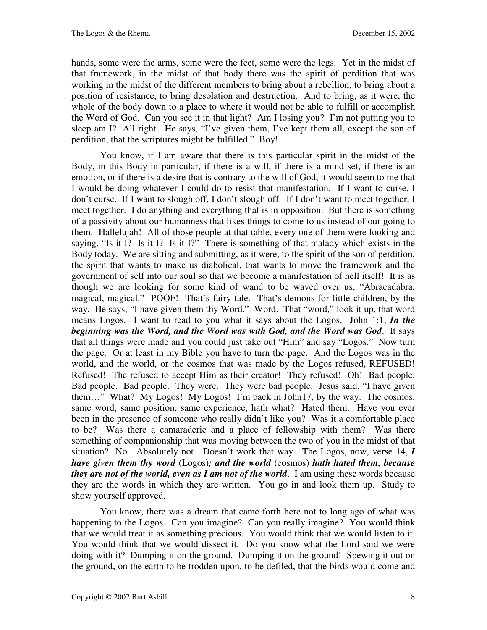hands, some were the arms, some were the feet, some were the legs. Yet in the midst of that framework, in the midst of that body there was the spirit of perdition that was working in the midst of the different members to bring about a rebellion, to bring about a position of resistance, to bring desolation and destruction. And to bring, as it were, the whole of the body down to a place to where it would not be able to fulfill or accomplish the Word of God. Can you see it in that light? Am I losing you? I'm not putting you to sleep am I? All right. He says, "I've given them, I've kept them all, except the son of perdition, that the scriptures might be fulfilled." Boy!

You know, if I am aware that there is this particular spirit in the midst of the Body, in this Body in particular, if there is a will, if there is a mind set, if there is an emotion, or if there is a desire that is contrary to the will of God, it would seem to me that I would be doing whatever I could do to resist that manifestation. If I want to curse, I don't curse. If I want to slough off, I don't slough off. If I don't want to meet together, I meet together. I do anything and everything that is in opposition. But there is something of a passivity about our humanness that likes things to come to us instead of our going to them. Hallelujah! All of those people at that table, every one of them were looking and saying, "Is it I? Is it I? Is it I?" There is something of that malady which exists in the Body today. We are sitting and submitting, as it were, to the spirit of the son of perdition, the spirit that wants to make us diabolical, that wants to move the framework and the government of self into our soul so that we become a manifestation of hell itself! It is as though we are looking for some kind of wand to be waved over us, "Abracadabra, magical, magical." POOF! That's fairy tale. That's demons for little children, by the way. He says, "I have given them thy Word." Word. That "word," look it up, that word means Logos. I want to read to you what it says about the Logos. John 1:1, *In the beginning was the Word, and the Word was with God, and the Word was God*. It says that all things were made and you could just take out "Him" and say "Logos." Now turn the page. Or at least in my Bible you have to turn the page. And the Logos was in the world, and the world, or the cosmos that was made by the Logos refused, REFUSED! Refused! The refused to accept Him as their creator! They refused! Oh! Bad people. Bad people. Bad people. They were. They were bad people. Jesus said, "I have given them…" What? My Logos! My Logos! I'm back in John17, by the way. The cosmos, same word, same position, same experience, hath what? Hated them. Have you ever been in the presence of someone who really didn't like you? Was it a comfortable place to be? Was there a camaraderie and a place of fellowship with them? Was there something of companionship that was moving between the two of you in the midst of that situation? No. Absolutely not. Doesn't work that way. The Logos, now, verse 14, *I have given them thy word* (Logos)*; and the world* (cosmos) *hath hated them, because they are not of the world, even as I am not of the world*. I am using these words because they are the words in which they are written. You go in and look them up. Study to show yourself approved.

You know, there was a dream that came forth here not to long ago of what was happening to the Logos. Can you imagine? Can you really imagine? You would think that we would treat it as something precious. You would think that we would listen to it. You would think that we would dissect it. Do you know what the Lord said we were doing with it? Dumping it on the ground. Dumping it on the ground! Spewing it out on the ground, on the earth to be trodden upon, to be defiled, that the birds would come and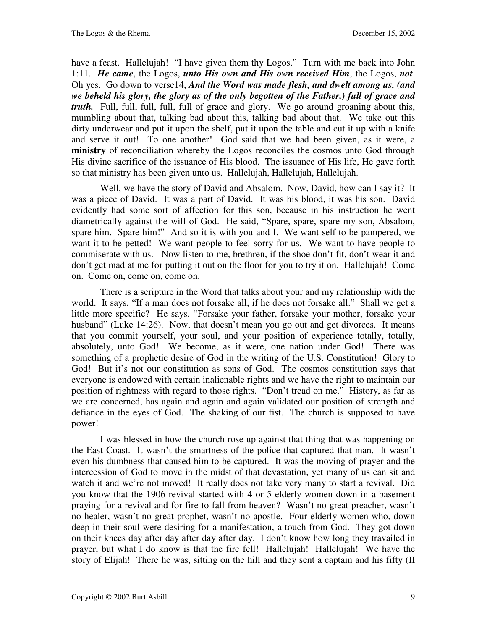have a feast. Hallelujah! "I have given them thy Logos." Turn with me back into John 1:11. *He came*, the Logos, *unto His own and His own received Him*, the Logos, *not*. Oh yes. Go down to verse14, *And the Word was made flesh, and dwelt among us, (and we beheld his glory, the glory as of the only begotten of the Father,) full of grace and truth.* Full, full, full, full, full of grace and glory. We go around groaning about this, mumbling about that, talking bad about this, talking bad about that. We take out this dirty underwear and put it upon the shelf, put it upon the table and cut it up with a knife and serve it out! To one another! God said that we had been given, as it were, a **ministry** of reconciliation whereby the Logos reconciles the cosmos unto God through His divine sacrifice of the issuance of His blood. The issuance of His life, He gave forth so that ministry has been given unto us. Hallelujah, Hallelujah, Hallelujah.

Well, we have the story of David and Absalom. Now, David, how can I say it? It was a piece of David. It was a part of David. It was his blood, it was his son. David evidently had some sort of affection for this son, because in his instruction he went diametrically against the will of God. He said, "Spare, spare, spare my son, Absalom, spare him. Spare him!" And so it is with you and I. We want self to be pampered, we want it to be petted! We want people to feel sorry for us. We want to have people to commiserate with us. Now listen to me, brethren, if the shoe don't fit, don't wear it and don't get mad at me for putting it out on the floor for you to try it on. Hallelujah! Come on. Come on, come on, come on.

There is a scripture in the Word that talks about your and my relationship with the world. It says, "If a man does not forsake all, if he does not forsake all." Shall we get a little more specific? He says, "Forsake your father, forsake your mother, forsake your husband" (Luke 14:26). Now, that doesn't mean you go out and get divorces. It means that you commit yourself, your soul, and your position of experience totally, totally, absolutely, unto God! We become, as it were, one nation under God! There was something of a prophetic desire of God in the writing of the U.S. Constitution! Glory to God! But it's not our constitution as sons of God. The cosmos constitution says that everyone is endowed with certain inalienable rights and we have the right to maintain our position of rightness with regard to those rights. "Don't tread on me." History, as far as we are concerned, has again and again and again validated our position of strength and defiance in the eyes of God. The shaking of our fist. The church is supposed to have power!

I was blessed in how the church rose up against that thing that was happening on the East Coast. It wasn't the smartness of the police that captured that man. It wasn't even his dumbness that caused him to be captured. It was the moving of prayer and the intercession of God to move in the midst of that devastation, yet many of us can sit and watch it and we're not moved! It really does not take very many to start a revival. Did you know that the 1906 revival started with 4 or 5 elderly women down in a basement praying for a revival and for fire to fall from heaven? Wasn't no great preacher, wasn't no healer, wasn't no great prophet, wasn't no apostle. Four elderly women who, down deep in their soul were desiring for a manifestation, a touch from God. They got down on their knees day after day after day after day. I don't know how long they travailed in prayer, but what I do know is that the fire fell! Hallelujah! Hallelujah! We have the story of Elijah! There he was, sitting on the hill and they sent a captain and his fifty (II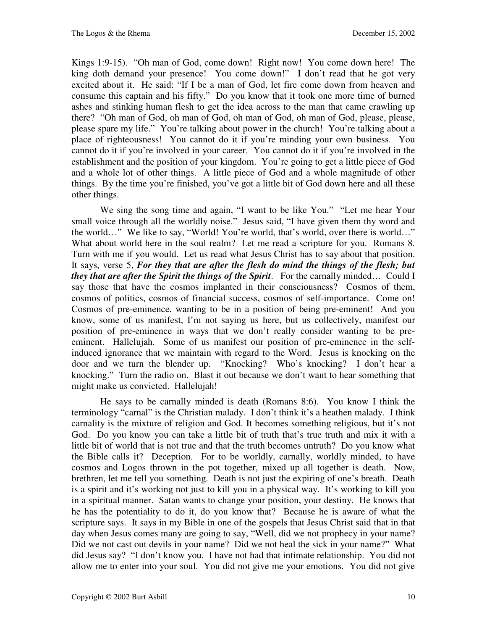Kings 1:9-15). "Oh man of God, come down! Right now! You come down here! The king doth demand your presence! You come down!" I don't read that he got very excited about it. He said: "If I be a man of God, let fire come down from heaven and consume this captain and his fifty." Do you know that it took one more time of burned ashes and stinking human flesh to get the idea across to the man that came crawling up there? "Oh man of God, oh man of God, oh man of God, oh man of God, please, please, please spare my life." You're talking about power in the church! You're talking about a place of righteousness! You cannot do it if you're minding your own business. You cannot do it if you're involved in your career. You cannot do it if you're involved in the establishment and the position of your kingdom. You're going to get a little piece of God and a whole lot of other things. A little piece of God and a whole magnitude of other things. By the time you're finished, you've got a little bit of God down here and all these other things.

We sing the song time and again, "I want to be like You." "Let me hear Your small voice through all the worldly noise." Jesus said, "I have given them thy word and the world…" We like to say, "World! You're world, that's world, over there is world…" What about world here in the soul realm? Let me read a scripture for you. Romans 8. Turn with me if you would. Let us read what Jesus Christ has to say about that position. It says, verse 5, *For they that are after the flesh do mind the things of the flesh; but they that are after the Spirit the things of the Spirit*. For the carnally minded… Could I say those that have the cosmos implanted in their consciousness? Cosmos of them, cosmos of politics, cosmos of financial success, cosmos of self-importance. Come on! Cosmos of pre-eminence, wanting to be in a position of being pre-eminent! And you know, some of us manifest, I'm not saying us here, but us collectively, manifest our position of pre-eminence in ways that we don't really consider wanting to be preeminent. Hallelujah. Some of us manifest our position of pre-eminence in the selfinduced ignorance that we maintain with regard to the Word. Jesus is knocking on the door and we turn the blender up. "Knocking? Who's knocking? I don't hear a knocking." Turn the radio on. Blast it out because we don't want to hear something that might make us convicted. Hallelujah!

He says to be carnally minded is death (Romans 8:6). You know I think the terminology "carnal" is the Christian malady. I don't think it's a heathen malady. I think carnality is the mixture of religion and God. It becomes something religious, but it's not God. Do you know you can take a little bit of truth that's true truth and mix it with a little bit of world that is not true and that the truth becomes untruth? Do you know what the Bible calls it? Deception. For to be worldly, carnally, worldly minded, to have cosmos and Logos thrown in the pot together, mixed up all together is death. Now, brethren, let me tell you something. Death is not just the expiring of one's breath. Death is a spirit and it's working not just to kill you in a physical way. It's working to kill you in a spiritual manner. Satan wants to change your position, your destiny. He knows that he has the potentiality to do it, do you know that? Because he is aware of what the scripture says. It says in my Bible in one of the gospels that Jesus Christ said that in that day when Jesus comes many are going to say, "Well, did we not prophecy in your name? Did we not cast out devils in your name? Did we not heal the sick in your name?" What did Jesus say? "I don't know you. I have not had that intimate relationship. You did not allow me to enter into your soul. You did not give me your emotions. You did not give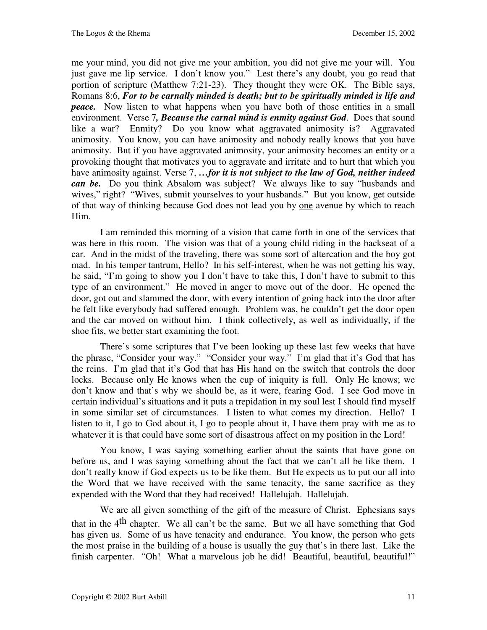me your mind, you did not give me your ambition, you did not give me your will. You just gave me lip service. I don't know you." Lest there's any doubt, you go read that portion of scripture (Matthew 7:21-23). They thought they were OK. The Bible says, Romans 8:6, *For to be carnally minded is death; but to be spiritually minded is life and peace.* Now listen to what happens when you have both of those entities in a small environment. Verse 7*, Because the carnal mind is enmity against God*. Does that sound like a war? Enmity? Do you know what aggravated animosity is? Aggravated animosity. You know, you can have animosity and nobody really knows that you have animosity. But if you have aggravated animosity, your animosity becomes an entity or a provoking thought that motivates you to aggravate and irritate and to hurt that which you have animosity against. Verse 7, ...for it is not subject to the law of God, neither indeed *can be.* Do you think Absalom was subject? We always like to say "husbands and wives," right? "Wives, submit yourselves to your husbands." But you know, get outside of that way of thinking because God does not lead you by one avenue by which to reach Him.

I am reminded this morning of a vision that came forth in one of the services that was here in this room. The vision was that of a young child riding in the backseat of a car. And in the midst of the traveling, there was some sort of altercation and the boy got mad. In his temper tantrum, Hello? In his self-interest, when he was not getting his way, he said, "I'm going to show you I don't have to take this, I don't have to submit to this type of an environment." He moved in anger to move out of the door. He opened the door, got out and slammed the door, with every intention of going back into the door after he felt like everybody had suffered enough. Problem was, he couldn't get the door open and the car moved on without him. I think collectively, as well as individually, if the shoe fits, we better start examining the foot.

There's some scriptures that I've been looking up these last few weeks that have the phrase, "Consider your way." "Consider your way." I'm glad that it's God that has the reins. I'm glad that it's God that has His hand on the switch that controls the door locks. Because only He knows when the cup of iniquity is full. Only He knows; we don't know and that's why we should be, as it were, fearing God. I see God move in certain individual's situations and it puts a trepidation in my soul lest I should find myself in some similar set of circumstances. I listen to what comes my direction. Hello? I listen to it, I go to God about it, I go to people about it, I have them pray with me as to whatever it is that could have some sort of disastrous affect on my position in the Lord!

You know, I was saying something earlier about the saints that have gone on before us, and I was saying something about the fact that we can't all be like them. I don't really know if God expects us to be like them. But He expects us to put our all into the Word that we have received with the same tenacity, the same sacrifice as they expended with the Word that they had received! Hallelujah. Hallelujah.

We are all given something of the gift of the measure of Christ. Ephesians says that in the  $4<sup>th</sup>$  chapter. We all can't be the same. But we all have something that God has given us. Some of us have tenacity and endurance. You know, the person who gets the most praise in the building of a house is usually the guy that's in there last. Like the finish carpenter. "Oh! What a marvelous job he did! Beautiful, beautiful, beautiful!"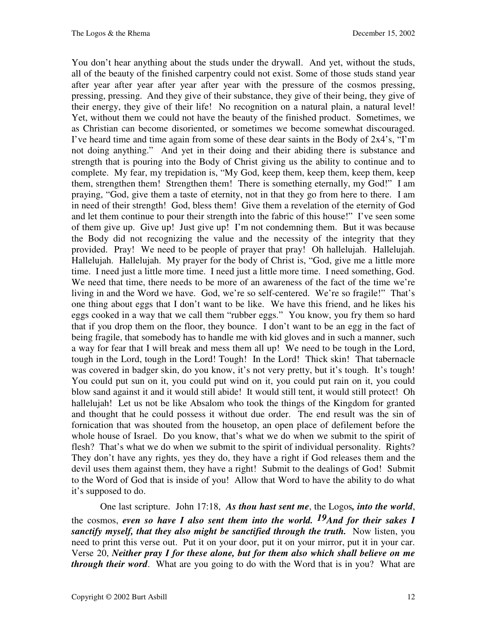You don't hear anything about the studs under the drywall. And yet, without the studs, all of the beauty of the finished carpentry could not exist. Some of those studs stand year after year after year after year after year with the pressure of the cosmos pressing, pressing, pressing. And they give of their substance, they give of their being, they give of their energy, they give of their life! No recognition on a natural plain, a natural level! Yet, without them we could not have the beauty of the finished product. Sometimes, we as Christian can become disoriented, or sometimes we become somewhat discouraged. I've heard time and time again from some of these dear saints in the Body of 2x4's, "I'm not doing anything." And yet in their doing and their abiding there is substance and strength that is pouring into the Body of Christ giving us the ability to continue and to complete. My fear, my trepidation is, "My God, keep them, keep them, keep them, keep them, strengthen them! Strengthen them! There is something eternally, my God!" I am praying, "God, give them a taste of eternity, not in that they go from here to there. I am in need of their strength! God, bless them! Give them a revelation of the eternity of God and let them continue to pour their strength into the fabric of this house!" I've seen some of them give up. Give up! Just give up! I'm not condemning them. But it was because the Body did not recognizing the value and the necessity of the integrity that they provided. Pray! We need to be people of prayer that pray! Oh hallelujah. Hallelujah. Hallelujah. Hallelujah. My prayer for the body of Christ is, "God, give me a little more time. I need just a little more time. I need just a little more time. I need something, God. We need that time, there needs to be more of an awareness of the fact of the time we're living in and the Word we have. God, we're so self-centered. We're so fragile!" That's one thing about eggs that I don't want to be like. We have this friend, and he likes his eggs cooked in a way that we call them "rubber eggs." You know, you fry them so hard that if you drop them on the floor, they bounce. I don't want to be an egg in the fact of being fragile, that somebody has to handle me with kid gloves and in such a manner, such a way for fear that I will break and mess them all up! We need to be tough in the Lord, tough in the Lord, tough in the Lord! Tough! In the Lord! Thick skin! That tabernacle was covered in badger skin, do you know, it's not very pretty, but it's tough. It's tough! You could put sun on it, you could put wind on it, you could put rain on it, you could blow sand against it and it would still abide! It would still tent, it would still protect! Oh hallelujah! Let us not be like Absalom who took the things of the Kingdom for granted and thought that he could possess it without due order. The end result was the sin of fornication that was shouted from the housetop, an open place of defilement before the whole house of Israel. Do you know, that's what we do when we submit to the spirit of flesh? That's what we do when we submit to the spirit of individual personality. Rights? They don't have any rights, yes they do, they have a right if God releases them and the devil uses them against them, they have a right! Submit to the dealings of God! Submit to the Word of God that is inside of you! Allow that Word to have the ability to do what it's supposed to do.

One last scripture. John 17:18, *As thou hast sent me*, the Logos*, into the world*, the cosmos, *even so have I also sent them into the world. 19And for their sakes I sanctify myself, that they also might be sanctified through the truth.* Now listen, you need to print this verse out. Put it on your door, put it on your mirror, put it in your car. Verse 20, *Neither pray I for these alone, but for them also which shall believe on me through their word*. What are you going to do with the Word that is in you? What are